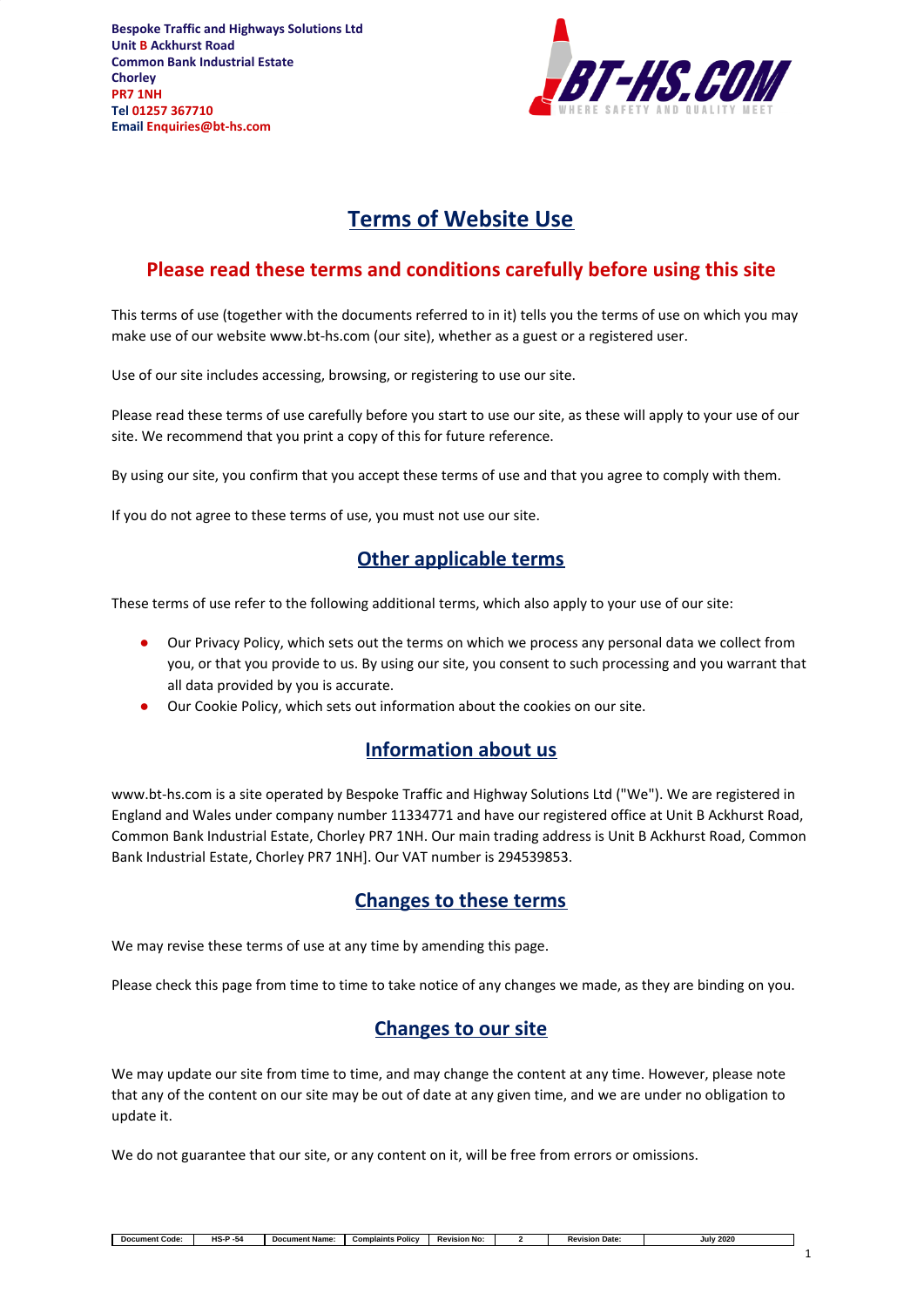

# **Terms of Website Use**

## **Please read these terms and conditions carefully before using this site**

This terms of use (together with the documents referred to in it) tells you the terms of use on which you may make use of our website www.bt-hs.com (our site), whether as a guest or a registered user.

Use of our site includes accessing, browsing, or registering to use our site.

Please read these terms of use carefully before you start to use our site, as these will apply to your use of our site. We recommend that you print a copy of this for future reference.

By using our site, you confirm that you accept these terms of use and that you agree to comply with them.

If you do not agree to these terms of use, you must not use our site.

## **Other applicable terms**

These terms of use refer to the following additional terms, which also apply to your use of our site:

- Our Privacy Policy, which sets out the terms on which we process any personal data we collect from you, or that you provide to us. By using our site, you consent to such processing and you warrant that all data provided by you is accurate.
- Our Cookie Policy, which sets out information about the cookies on our site.

#### **Information about us**

www.bt-hs.com is a site operated by Bespoke Traffic and Highway Solutions Ltd ("We"). We are registered in England and Wales under company number 11334771 and have our registered office at Unit B Ackhurst Road, Common Bank Industrial Estate, Chorley PR7 1NH. Our main trading address is Unit B Ackhurst Road, Common Bank Industrial Estate, Chorley PR7 1NH]. Our VAT number is 294539853.

#### **Changes to these terms**

We may revise these terms of use at any time by amending this page.

Please check this page from time to time to take notice of any changes we made, as they are binding on you.

## **Changes to our site**

We may update our site from time to time, and may change the content at any time. However, please note that any of the content on our site may be out of date at any given time, and we are under no obligation to update it.

We do not guarantee that our site, or any content on it, will be free from errors or omissions.

| Code:<br>ument<br>noc | $\overline{\phantom{0}}$<br>. | Name:<br>Document | Policy<br>ıplaints<br>Com | <b>Revision No</b> | <b>Revision Date:</b> | <b>July 2020</b> |
|-----------------------|-------------------------------|-------------------|---------------------------|--------------------|-----------------------|------------------|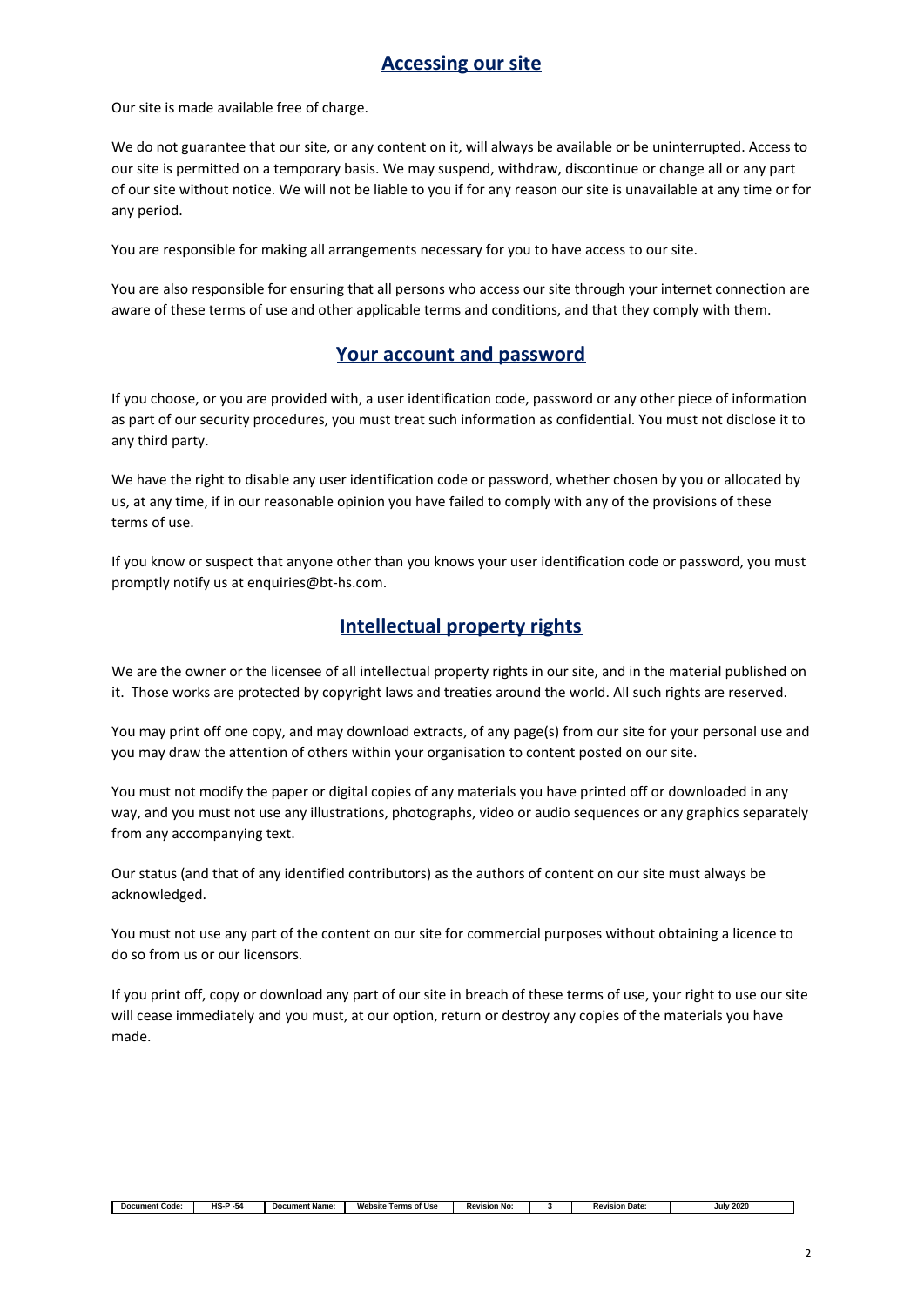#### **Accessing our site**

Our site is made available free of charge.

We do not guarantee that our site, or any content on it, will always be available or be uninterrupted. Access to our site is permitted on a temporary basis. We may suspend, withdraw, discontinue or change all or any part of our site without notice. We will not be liable to you if for any reason our site is unavailable at any time or for any period.

You are responsible for making all arrangements necessary for you to have access to our site.

You are also responsible for ensuring that all persons who access our site through your internet connection are aware of these terms of use and other applicable terms and conditions, and that they comply with them.

#### **Your account and password**

If you choose, or you are provided with, a user identification code, password or any other piece of information as part of our security procedures, you must treat such information as confidential. You must not disclose it to any third party.

We have the right to disable any user identification code or password, whether chosen by you or allocated by us, at any time, if in our reasonable opinion you have failed to comply with any of the provisions of these terms of use.

If you know or suspect that anyone other than you knows your user identification code or password, you must promptly notify us at enquiries@bt-hs.com.

## **Intellectual property rights**

We are the owner or the licensee of all intellectual property rights in our site, and in the material published on it. Those works are protected by copyright laws and treaties around the world. All such rights are reserved.

You may print off one copy, and may download extracts, of any page(s) from our site for your personal use and you may draw the attention of others within your organisation to content posted on our site.

You must not modify the paper or digital copies of any materials you have printed off or downloaded in any way, and you must not use any illustrations, photographs, video or audio sequences or any graphics separately from any accompanying text.

Our status (and that of any identified contributors) as the authors of content on our site must always be acknowledged.

You must not use any part of the content on our site for commercial purposes without obtaining a licence to do so from us or our licensors.

If you print off, copy or download any part of our site in breach of these terms of use, your right to use our site will cease immediately and you must, at our option, return or destroy any copies of the materials you have made.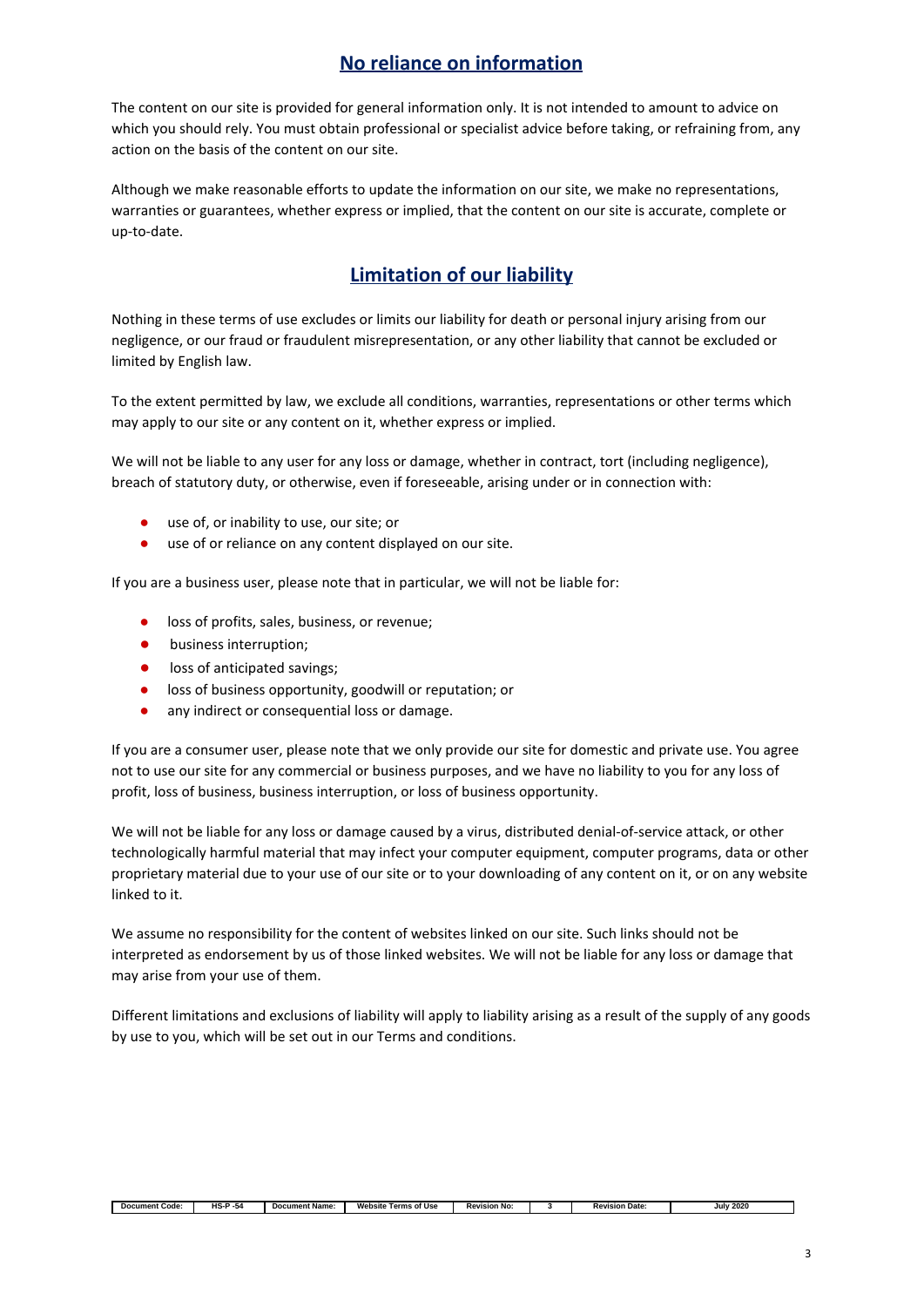## **No reliance on information**

The content on our site is provided for general information only. It is not intended to amount to advice on which you should rely. You must obtain professional or specialist advice before taking, or refraining from, any action on the basis of the content on our site.

Although we make reasonable efforts to update the information on our site, we make no representations, warranties or guarantees, whether express or implied, that the content on our site is accurate, complete or up-to-date.

## **Limitation of our liability**

Nothing in these terms of use excludes or limits our liability for death or personal injury arising from our negligence, or our fraud or fraudulent misrepresentation, or any other liability that cannot be excluded or limited by English law.

To the extent permitted by law, we exclude all conditions, warranties, representations or other terms which may apply to our site or any content on it, whether express or implied.

We will not be liable to any user for any loss or damage, whether in contract, tort (including negligence), breach of statutory duty, or otherwise, even if foreseeable, arising under or in connection with:

- use of, or inability to use, our site; or
- use of or reliance on any content displayed on our site.

If you are a business user, please note that in particular, we will not be liable for:

- loss of profits, sales, business, or revenue;
- business interruption;
- loss of anticipated savings;
- loss of business opportunity, goodwill or reputation; or
- any indirect or consequential loss or damage.

If you are a consumer user, please note that we only provide our site for domestic and private use. You agree not to use our site for any commercial or business purposes, and we have no liability to you for any loss of profit, loss of business, business interruption, or loss of business opportunity.

We will not be liable for any loss or damage caused by a virus, distributed denial-of-service attack, or other technologically harmful material that may infect your computer equipment, computer programs, data or other proprietary material due to your use of our site or to your downloading of any content on it, or on any website linked to it.

We assume no responsibility for the content of websites linked on our site. Such links should not be interpreted as endorsement by us of those linked websites. We will not be liable for any loss or damage that may arise from your use of them.

Different limitations and exclusions of liability will apply to liability arising as a result of the supply of any goods by use to you, which will be set out in our Terms and conditions.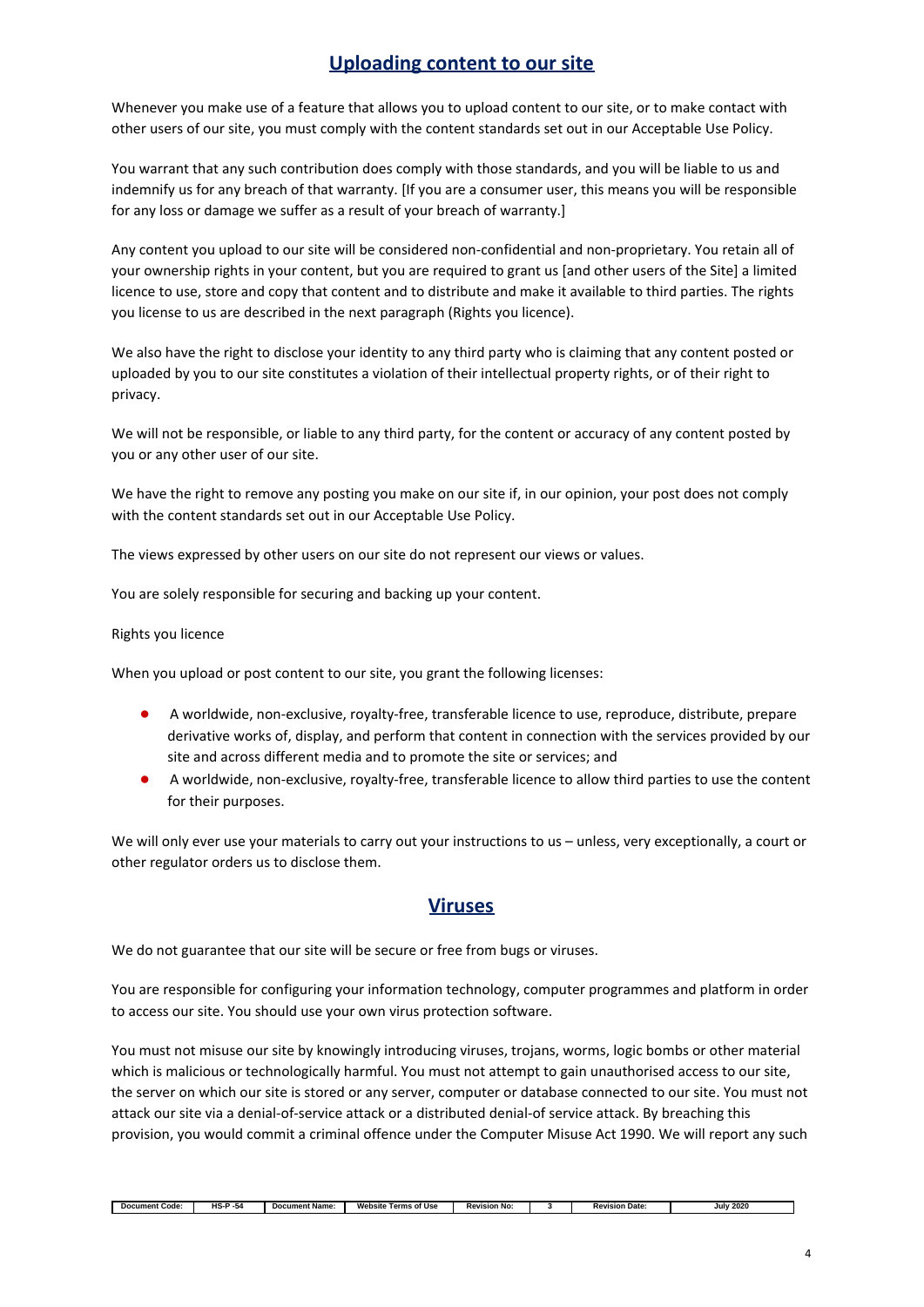## **Uploading content to our site**

Whenever you make use of a feature that allows you to upload content to our site, or to make contact with other users of our site, you must comply with the content standards set out in our Acceptable Use Policy.

You warrant that any such contribution does comply with those standards, and you will be liable to us and indemnify us for any breach of that warranty. [If you are a consumer user, this means you will be responsible for any loss or damage we suffer as a result of your breach of warranty.]

Any content you upload to our site will be considered non-confidential and non-proprietary. You retain all of your ownership rights in your content, but you are required to grant us [and other users of the Site] a limited licence to use, store and copy that content and to distribute and make it available to third parties. The rights you license to us are described in the next paragraph (Rights you licence).

We also have the right to disclose your identity to any third party who is claiming that any content posted or uploaded by you to our site constitutes a violation of their intellectual property rights, or of their right to privacy.

We will not be responsible, or liable to any third party, for the content or accuracy of any content posted by you or any other user of our site.

We have the right to remove any posting you make on our site if, in our opinion, your post does not comply with the content standards set out in our Acceptable Use Policy.

The views expressed by other users on our site do not represent our views or values.

You are solely responsible for securing and backing up your content.

#### Rights you licence

When you upload or post content to our site, you grant the following licenses:

- A worldwide, non-exclusive, royalty-free, transferable licence to use, reproduce, distribute, prepare derivative works of, display, and perform that content in connection with the services provided by our site and across different media and to promote the site or services; and
- A worldwide, non-exclusive, royalty-free, transferable licence to allow third parties to use the content for their purposes.

We will only ever use your materials to carry out your instructions to us – unless, very exceptionally, a court or other regulator orders us to disclose them.

#### **Viruses**

We do not guarantee that our site will be secure or free from bugs or viruses.

You are responsible for configuring your information technology, computer programmes and platform in order to access our site. You should use your own virus protection software.

You must not misuse our site by knowingly introducing viruses, trojans, worms, logic bombs or other material which is malicious or technologically harmful. You must not attempt to gain unauthorised access to our site, the server on which our site is stored or any server, computer or database connected to our site. You must not attack our site via a denial-of-service attack or a distributed denial-of service attack. By breaching this provision, you would commit a criminal offence under the Computer Misuse Act 1990. We will report any such

| ument Code:<br>Doc. | - -<br>பெ<br>-54<br>- ت | ument Name <sup>.</sup><br>Dor | Website<br>Terms of Use | <b>Revision No:</b> | vision Date:<br>n.<br>rc | 2020<br>Jul |
|---------------------|-------------------------|--------------------------------|-------------------------|---------------------|--------------------------|-------------|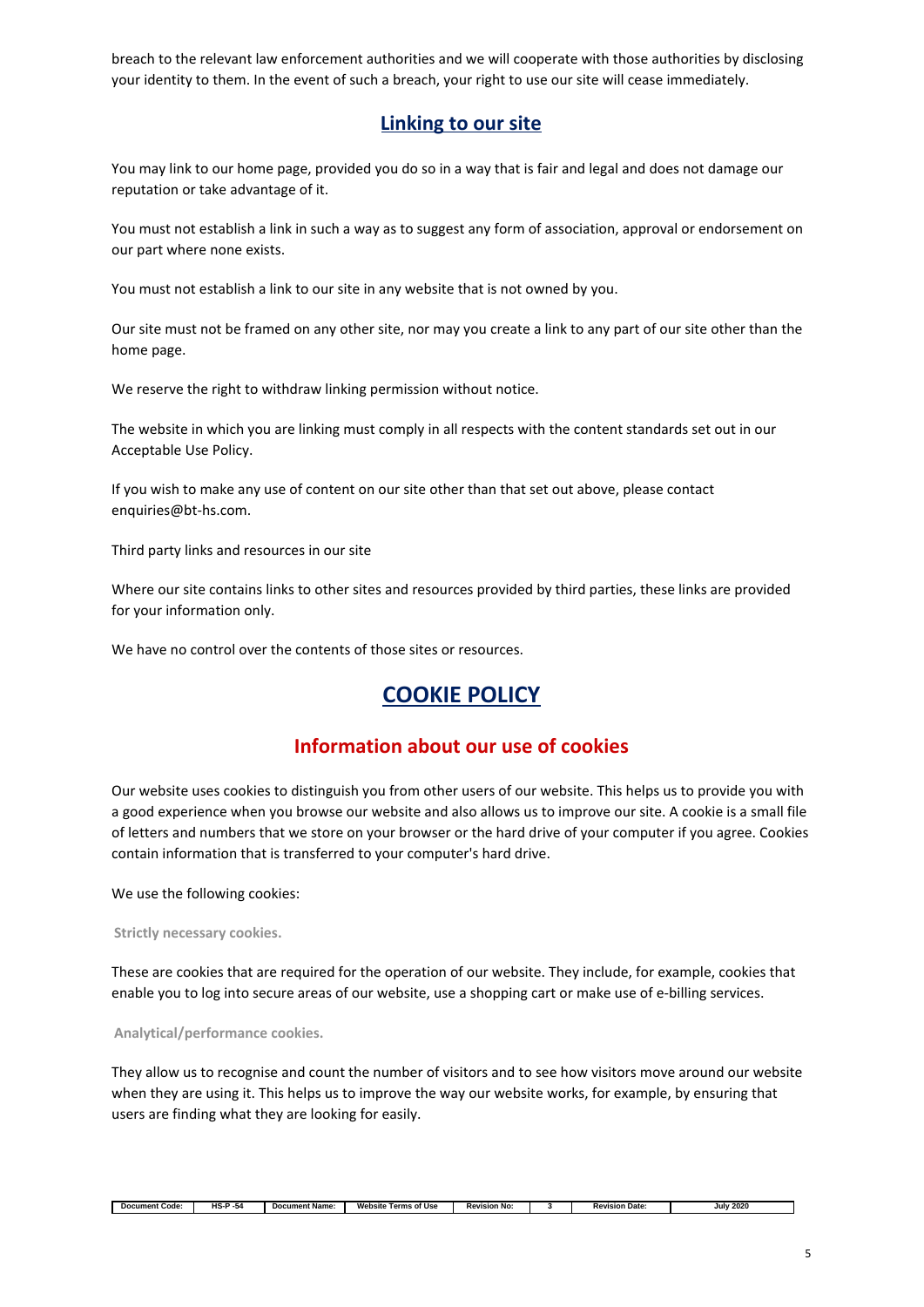breach to the relevant law enforcement authorities and we will cooperate with those authorities by disclosing your identity to them. In the event of such a breach, your right to use our site will cease immediately.

#### **Linking to our site**

You may link to our home page, provided you do so in a way that is fair and legal and does not damage our reputation or take advantage of it.

You must not establish a link in such a way as to suggest any form of association, approval or endorsement on our part where none exists.

You must not establish a link to our site in any website that is not owned by you.

Our site must not be framed on any other site, nor may you create a link to any part of our site other than the home page.

We reserve the right to withdraw linking permission without notice.

The website in which you are linking must comply in all respects with the content standards set out in our Acceptable Use Policy.

If you wish to make any use of content on our site other than that set out above, please contact enquiries@bt-hs.com.

Third party links and resources in our site

Where our site contains links to other sites and resources provided by third parties, these links are provided for your information only.

We have no control over the contents of those sites or resources.

## **COOKIE POLICY**

#### **Information about our use of cookies**

Our website uses cookies to distinguish you from other users of our website. This helps us to provide you with a good experience when you browse our website and also allows us to improve our site. A cookie is a small file of letters and numbers that we store on your browser or the hard drive of your computer if you agree. Cookies contain information that is transferred to your computer's hard drive.

We use the following cookies:

**Strictly necessary cookies.**

These are cookies that are required for the operation of our website. They include, for example, cookies that enable you to log into secure areas of our website, use a shopping cart or make use of e-billing services.

**Analytical/performance cookies.**

They allow us to recognise and count the number of visitors and to see how visitors move around our website when they are using it. This helps us to improve the way our website works, for example, by ensuring that users are finding what they are looking for easily.

| Code:<br>Document | $\epsilon$<br>-54<br>- 15 | . .<br>ument Name <sup>.</sup><br>Do' | Website<br>of Use<br>Terms | ∕ision No:<br>--<br>ĸ | <b>Revision Date:</b> | 2020<br>July |
|-------------------|---------------------------|---------------------------------------|----------------------------|-----------------------|-----------------------|--------------|